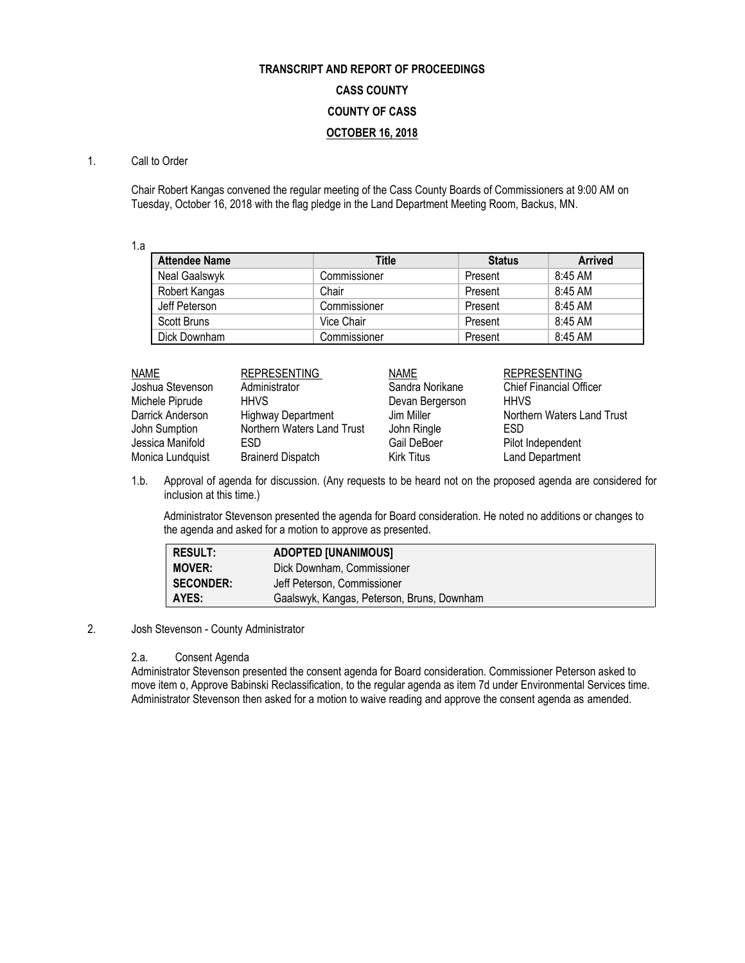# **TRANSCRIPT AND REPORT OF PROCEEDINGS CASS COUNTY COUNTY OF CASS OCTOBER 16, 2018**

# 1. Call to Order

Chair Robert Kangas convened the regular meeting of the Cass County Boards of Commissioners at 9:00 AM on Tuesday, October 16, 2018 with the flag pledge in the Land Department Meeting Room, Backus, MN.

1.a

| <b>Attendee Name</b> | <b>Title</b> | <b>Status</b> | <b>Arrived</b> |
|----------------------|--------------|---------------|----------------|
| Neal Gaalswyk        | Commissioner | Present       | 8:45 AM        |
| Robert Kangas        | Chair        | Present       | 8:45 AM        |
| Jeff Peterson        | Commissioner | Present       | 8:45 AM        |
| Scott Bruns          | Vice Chair   | Present       | 8:45 AM        |
| Dick Downham         | Commissioner | Present       | 8:45 AM        |

| <b>NAME</b>      | <b>REPRESENTING</b>        | <b>NAME</b>       | <b>REPRESENTING</b>            |
|------------------|----------------------------|-------------------|--------------------------------|
| Joshua Stevenson | Administrator              | Sandra Norikane   | <b>Chief Financial Officer</b> |
| Michele Piprude  | <b>HHVS</b>                | Devan Bergerson   | <b>HHVS</b>                    |
| Darrick Anderson | <b>Highway Department</b>  | Jim Miller        | Northern Waters Land Trust     |
| John Sumption    | Northern Waters Land Trust | John Ringle       | ESD                            |
| Jessica Manifold | ESD.                       | Gail DeBoer       | Pilot Independent              |
| Monica Lundquist | <b>Brainerd Dispatch</b>   | <b>Kirk Titus</b> | <b>Land Department</b>         |

1.b. Approval of agenda for discussion. (Any requests to be heard not on the proposed agenda are considered for inclusion at this time.)

Administrator Stevenson presented the agenda for Board consideration. He noted no additions or changes to the agenda and asked for a motion to approve as presented.

| <b>RESULT:</b>   | <b>ADOPTED [UNANIMOUS]</b>                 |
|------------------|--------------------------------------------|
| <b>MOVER:</b>    | Dick Downham, Commissioner                 |
| <b>SECONDER:</b> | Jeff Peterson, Commissioner                |
| AYES:            | Gaalswyk, Kangas, Peterson, Bruns, Downham |

# 2. Josh Stevenson - County Administrator

#### 2.a. Consent Agenda

Administrator Stevenson presented the consent agenda for Board consideration. Commissioner Peterson asked to move item o, Approve Babinski Reclassification, to the regular agenda as item 7d under Environmental Services time. Administrator Stevenson then asked for a motion to waive reading and approve the consent agenda as amended.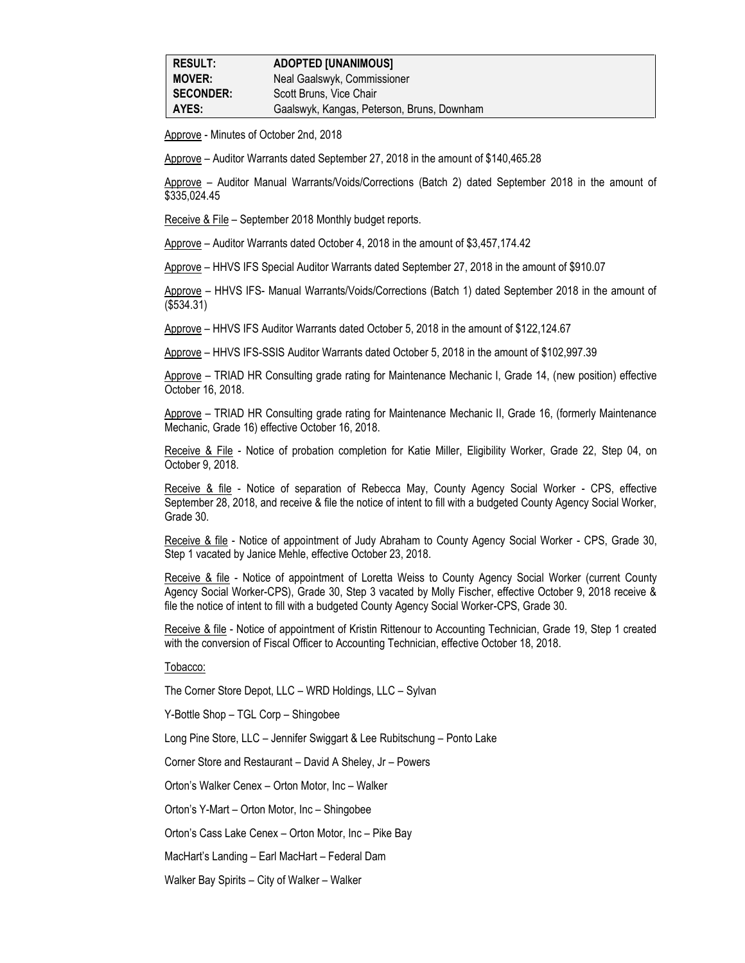Approve - Minutes of October 2nd, 2018

Approve – Auditor Warrants dated September 27, 2018 in the amount of \$140,465.28

Approve – Auditor Manual Warrants/Voids/Corrections (Batch 2) dated September 2018 in the amount of \$335,024.45

Receive & File – September 2018 Monthly budget reports.

Approve – Auditor Warrants dated October 4, 2018 in the amount of \$3,457,174.42

Approve – HHVS IFS Special Auditor Warrants dated September 27, 2018 in the amount of \$910.07

Approve – HHVS IFS- Manual Warrants/Voids/Corrections (Batch 1) dated September 2018 in the amount of (\$534.31)

Approve – HHVS IFS Auditor Warrants dated October 5, 2018 in the amount of \$122,124.67

Approve – HHVS IFS-SSIS Auditor Warrants dated October 5, 2018 in the amount of \$102,997.39

Approve – TRIAD HR Consulting grade rating for Maintenance Mechanic I, Grade 14, (new position) effective October 16, 2018.

Approve – TRIAD HR Consulting grade rating for Maintenance Mechanic II, Grade 16, (formerly Maintenance Mechanic, Grade 16) effective October 16, 2018.

Receive & File - Notice of probation completion for Katie Miller, Eligibility Worker, Grade 22, Step 04, on October 9, 2018.

Receive & file - Notice of separation of Rebecca May, County Agency Social Worker - CPS, effective September 28, 2018, and receive & file the notice of intent to fill with a budgeted County Agency Social Worker, Grade 30.

Receive & file - Notice of appointment of Judy Abraham to County Agency Social Worker - CPS, Grade 30, Step 1 vacated by Janice Mehle, effective October 23, 2018.

Receive & file - Notice of appointment of Loretta Weiss to County Agency Social Worker (current County Agency Social Worker-CPS), Grade 30, Step 3 vacated by Molly Fischer, effective October 9, 2018 receive & file the notice of intent to fill with a budgeted County Agency Social Worker-CPS, Grade 30.

Receive & file - Notice of appointment of Kristin Rittenour to Accounting Technician, Grade 19, Step 1 created with the conversion of Fiscal Officer to Accounting Technician, effective October 18, 2018.

Tobacco:

The Corner Store Depot, LLC – WRD Holdings, LLC – Sylvan

Y-Bottle Shop – TGL Corp – Shingobee

Long Pine Store, LLC – Jennifer Swiggart & Lee Rubitschung – Ponto Lake

Corner Store and Restaurant – David A Sheley, Jr – Powers

Orton's Walker Cenex – Orton Motor, Inc – Walker

Orton's Y-Mart – Orton Motor, Inc – Shingobee

Orton's Cass Lake Cenex – Orton Motor, Inc – Pike Bay

MacHart's Landing – Earl MacHart – Federal Dam

Walker Bay Spirits – City of Walker – Walker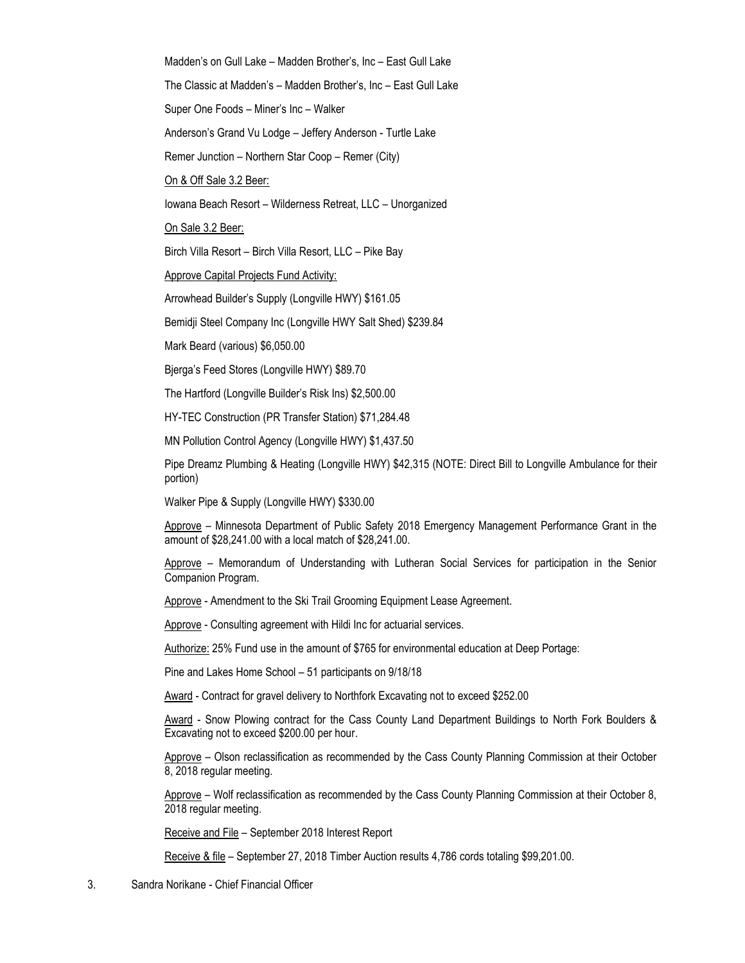Madden's on Gull Lake – Madden Brother's, Inc – East Gull Lake

The Classic at Madden's – Madden Brother's, Inc – East Gull Lake

Super One Foods – Miner's Inc – Walker

Anderson's Grand Vu Lodge – Jeffery Anderson - Turtle Lake

Remer Junction – Northern Star Coop – Remer (City)

On & Off Sale 3.2 Beer:

Iowana Beach Resort – Wilderness Retreat, LLC – Unorganized

On Sale 3.2 Beer:

Birch Villa Resort – Birch Villa Resort, LLC – Pike Bay

Approve Capital Projects Fund Activity:

Arrowhead Builder's Supply (Longville HWY) \$161.05

Bemidji Steel Company Inc (Longville HWY Salt Shed) \$239.84

Mark Beard (various) \$6,050.00

Bjerga's Feed Stores (Longville HWY) \$89.70

The Hartford (Longville Builder's Risk Ins) \$2,500.00

HY-TEC Construction (PR Transfer Station) \$71,284.48

MN Pollution Control Agency (Longville HWY) \$1,437.50

Pipe Dreamz Plumbing & Heating (Longville HWY) \$42,315 (NOTE: Direct Bill to Longville Ambulance for their portion)

Walker Pipe & Supply (Longville HWY) \$330.00

Approve – Minnesota Department of Public Safety 2018 Emergency Management Performance Grant in the amount of \$28,241.00 with a local match of \$28,241.00.

Approve – Memorandum of Understanding with Lutheran Social Services for participation in the Senior Companion Program.

Approve - Amendment to the Ski Trail Grooming Equipment Lease Agreement.

Approve - Consulting agreement with Hildi Inc for actuarial services.

Authorize: 25% Fund use in the amount of \$765 for environmental education at Deep Portage:

Pine and Lakes Home School – 51 participants on 9/18/18

Award - Contract for gravel delivery to Northfork Excavating not to exceed \$252.00

Award - Snow Plowing contract for the Cass County Land Department Buildings to North Fork Boulders & Excavating not to exceed \$200.00 per hour.

Approve – Olson reclassification as recommended by the Cass County Planning Commission at their October 8, 2018 regular meeting.

Approve – Wolf reclassification as recommended by the Cass County Planning Commission at their October 8, 2018 regular meeting.

Receive and File – September 2018 Interest Report

Receive & file – September 27, 2018 Timber Auction results 4,786 cords totaling \$99,201.00.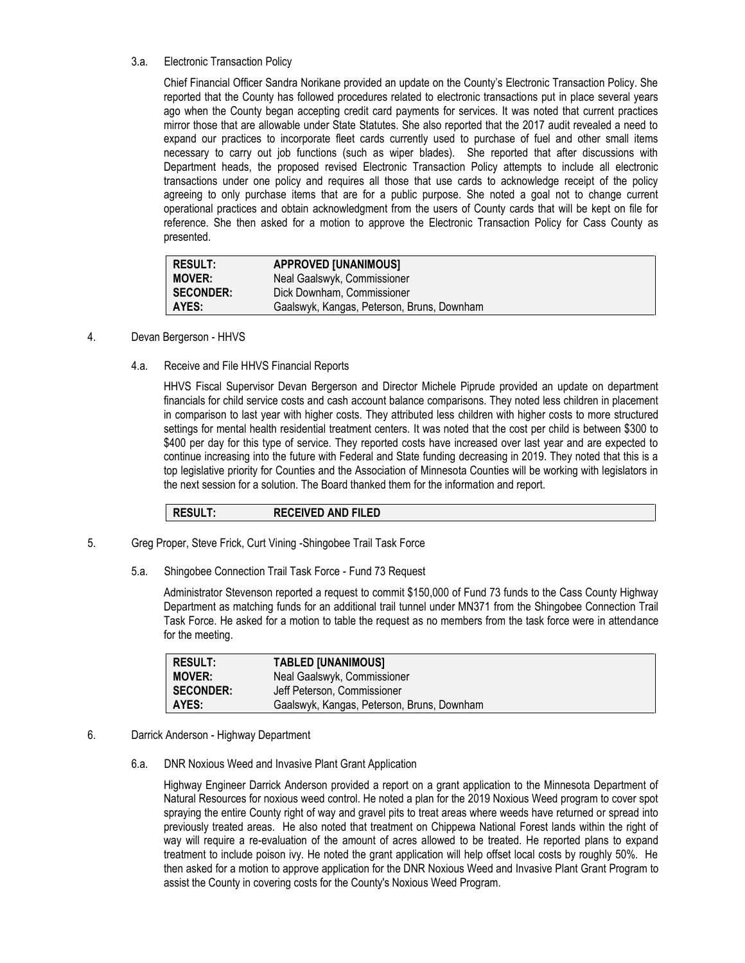## 3.a. Electronic Transaction Policy

Chief Financial Officer Sandra Norikane provided an update on the County's Electronic Transaction Policy. She reported that the County has followed procedures related to electronic transactions put in place several years ago when the County began accepting credit card payments for services. It was noted that current practices mirror those that are allowable under State Statutes. She also reported that the 2017 audit revealed a need to expand our practices to incorporate fleet cards currently used to purchase of fuel and other small items necessary to carry out job functions (such as wiper blades). She reported that after discussions with Department heads, the proposed revised Electronic Transaction Policy attempts to include all electronic transactions under one policy and requires all those that use cards to acknowledge receipt of the policy agreeing to only purchase items that are for a public purpose. She noted a goal not to change current operational practices and obtain acknowledgment from the users of County cards that will be kept on file for reference. She then asked for a motion to approve the Electronic Transaction Policy for Cass County as presented.

| <b>RESULT:</b>   | <b>APPROVED [UNANIMOUS]</b>                |
|------------------|--------------------------------------------|
| <b>MOVER:</b>    | Neal Gaalswyk, Commissioner                |
| <b>SECONDER:</b> | Dick Downham, Commissioner                 |
| AYES:            | Gaalswyk, Kangas, Peterson, Bruns, Downham |

## 4. Devan Bergerson - HHVS

4.a. Receive and File HHVS Financial Reports

HHVS Fiscal Supervisor Devan Bergerson and Director Michele Piprude provided an update on department financials for child service costs and cash account balance comparisons. They noted less children in placement in comparison to last year with higher costs. They attributed less children with higher costs to more structured settings for mental health residential treatment centers. It was noted that the cost per child is between \$300 to \$400 per day for this type of service. They reported costs have increased over last year and are expected to continue increasing into the future with Federal and State funding decreasing in 2019. They noted that this is a top legislative priority for Counties and the Association of Minnesota Counties will be working with legislators in the next session for a solution. The Board thanked them for the information and report.

**RESULT: RECEIVED AND FILED**

- 5. Greg Proper, Steve Frick, Curt Vining -Shingobee Trail Task Force
	- 5.a. Shingobee Connection Trail Task Force Fund 73 Request

Administrator Stevenson reported a request to commit \$150,000 of Fund 73 funds to the Cass County Highway Department as matching funds for an additional trail tunnel under MN371 from the Shingobee Connection Trail Task Force. He asked for a motion to table the request as no members from the task force were in attendance for the meeting.

| <b>RESULT:</b>   | <b>TABLED [UNANIMOUS]</b>                  |
|------------------|--------------------------------------------|
| <b>MOVER:</b>    | Neal Gaalswyk, Commissioner                |
| <b>SECONDER:</b> | Jeff Peterson. Commissioner                |
| AYES:            | Gaalswyk, Kangas, Peterson, Bruns, Downham |

- 6. Darrick Anderson Highway Department
	- 6.a. DNR Noxious Weed and Invasive Plant Grant Application

Highway Engineer Darrick Anderson provided a report on a grant application to the Minnesota Department of Natural Resources for noxious weed control. He noted a plan for the 2019 Noxious Weed program to cover spot spraying the entire County right of way and gravel pits to treat areas where weeds have returned or spread into previously treated areas. He also noted that treatment on Chippewa National Forest lands within the right of way will require a re-evaluation of the amount of acres allowed to be treated. He reported plans to expand treatment to include poison ivy. He noted the grant application will help offset local costs by roughly 50%. He then asked for a motion to approve application for the DNR Noxious Weed and Invasive Plant Grant Program to assist the County in covering costs for the County's Noxious Weed Program.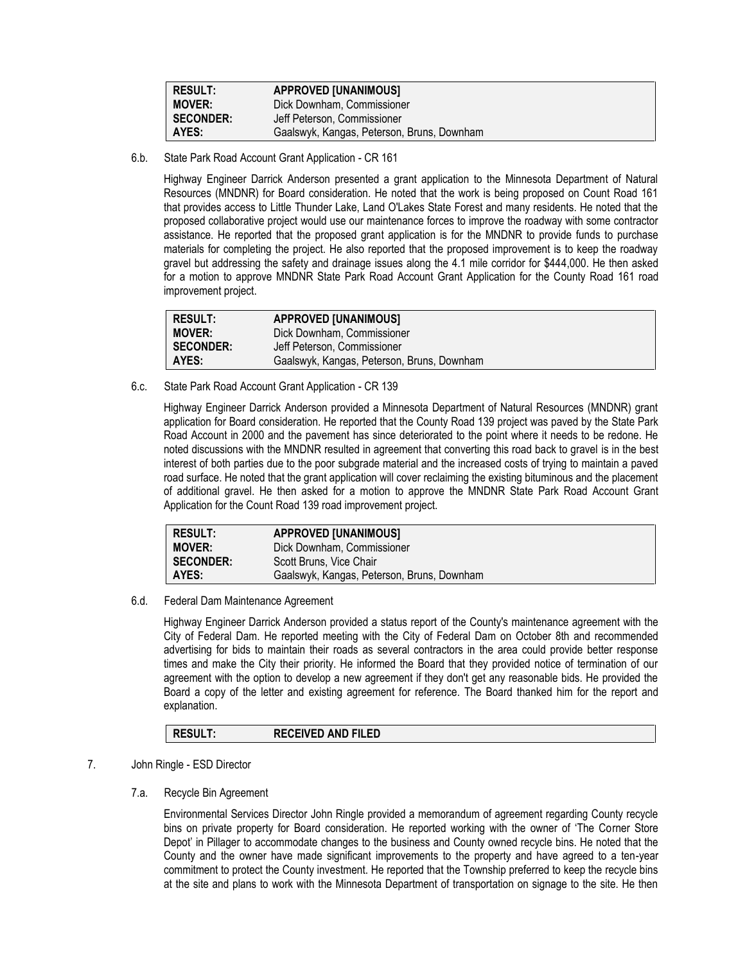| <b>RESULT:</b>   | <b>APPROVED [UNANIMOUS]</b>                |
|------------------|--------------------------------------------|
| <b>MOVER:</b>    | Dick Downham, Commissioner                 |
| <b>SECONDER:</b> | Jeff Peterson. Commissioner                |
| AYES:            | Gaalswyk, Kangas, Peterson, Bruns, Downham |

6.b. State Park Road Account Grant Application - CR 161

Highway Engineer Darrick Anderson presented a grant application to the Minnesota Department of Natural Resources (MNDNR) for Board consideration. He noted that the work is being proposed on Count Road 161 that provides access to Little Thunder Lake, Land O'Lakes State Forest and many residents. He noted that the proposed collaborative project would use our maintenance forces to improve the roadway with some contractor assistance. He reported that the proposed grant application is for the MNDNR to provide funds to purchase materials for completing the project. He also reported that the proposed improvement is to keep the roadway gravel but addressing the safety and drainage issues along the 4.1 mile corridor for \$444,000. He then asked for a motion to approve MNDNR State Park Road Account Grant Application for the County Road 161 road improvement project.

| <b>RESULT:</b>   | <b>APPROVED [UNANIMOUS]</b>                |
|------------------|--------------------------------------------|
| <b>MOVER:</b>    | Dick Downham, Commissioner                 |
| <b>SECONDER:</b> | Jeff Peterson, Commissioner                |
| AYES:            | Gaalswyk, Kangas, Peterson, Bruns, Downham |

6.c. State Park Road Account Grant Application - CR 139

Highway Engineer Darrick Anderson provided a Minnesota Department of Natural Resources (MNDNR) grant application for Board consideration. He reported that the County Road 139 project was paved by the State Park Road Account in 2000 and the pavement has since deteriorated to the point where it needs to be redone. He noted discussions with the MNDNR resulted in agreement that converting this road back to gravel is in the best interest of both parties due to the poor subgrade material and the increased costs of trying to maintain a paved road surface. He noted that the grant application will cover reclaiming the existing bituminous and the placement of additional gravel. He then asked for a motion to approve the MNDNR State Park Road Account Grant Application for the Count Road 139 road improvement project.

| <b>RESULT:</b>   | <b>APPROVED [UNANIMOUS]</b>                |
|------------------|--------------------------------------------|
| <b>MOVER:</b>    | Dick Downham, Commissioner                 |
| <b>SECONDER:</b> | Scott Bruns, Vice Chair                    |
| AYES:            | Gaalswyk, Kangas, Peterson, Bruns, Downham |

6.d. Federal Dam Maintenance Agreement

Highway Engineer Darrick Anderson provided a status report of the County's maintenance agreement with the City of Federal Dam. He reported meeting with the City of Federal Dam on October 8th and recommended advertising for bids to maintain their roads as several contractors in the area could provide better response times and make the City their priority. He informed the Board that they provided notice of termination of our agreement with the option to develop a new agreement if they don't get any reasonable bids. He provided the Board a copy of the letter and existing agreement for reference. The Board thanked him for the report and explanation.

# **RESULT: RECEIVED AND FILED**

- 7. John Ringle ESD Director
	- 7.a. Recycle Bin Agreement

Environmental Services Director John Ringle provided a memorandum of agreement regarding County recycle bins on private property for Board consideration. He reported working with the owner of 'The Corner Store Depot' in Pillager to accommodate changes to the business and County owned recycle bins. He noted that the County and the owner have made significant improvements to the property and have agreed to a ten-year commitment to protect the County investment. He reported that the Township preferred to keep the recycle bins at the site and plans to work with the Minnesota Department of transportation on signage to the site. He then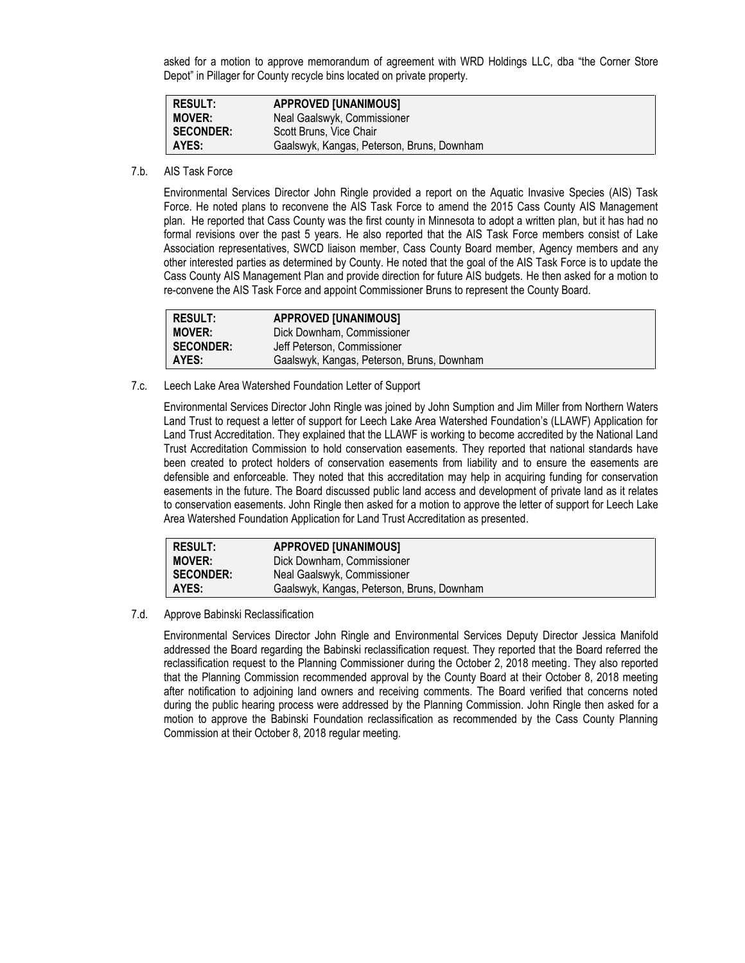asked for a motion to approve memorandum of agreement with WRD Holdings LLC, dba "the Corner Store Depot" in Pillager for County recycle bins located on private property.

| <b>RESULT:</b>   | <b>APPROVED [UNANIMOUS]</b>                |
|------------------|--------------------------------------------|
| <b>MOVER:</b>    | Neal Gaalswyk, Commissioner                |
| <b>SECONDER:</b> | Scott Bruns, Vice Chair                    |
| AYES:            | Gaalswyk, Kangas, Peterson, Bruns, Downham |

7.b. AIS Task Force

Environmental Services Director John Ringle provided a report on the Aquatic Invasive Species (AIS) Task Force. He noted plans to reconvene the AIS Task Force to amend the 2015 Cass County AIS Management plan. He reported that Cass County was the first county in Minnesota to adopt a written plan, but it has had no formal revisions over the past 5 years. He also reported that the AIS Task Force members consist of Lake Association representatives, SWCD liaison member, Cass County Board member, Agency members and any other interested parties as determined by County. He noted that the goal of the AIS Task Force is to update the Cass County AIS Management Plan and provide direction for future AIS budgets. He then asked for a motion to re-convene the AIS Task Force and appoint Commissioner Bruns to represent the County Board.

| <b>RESULT:</b>   | <b>APPROVED [UNANIMOUS]</b>                |
|------------------|--------------------------------------------|
| <b>MOVER:</b>    | Dick Downham, Commissioner                 |
| <b>SECONDER:</b> | Jeff Peterson. Commissioner                |
| AYES:            | Gaalswyk, Kangas, Peterson, Bruns, Downham |

7.c. Leech Lake Area Watershed Foundation Letter of Support

Environmental Services Director John Ringle was joined by John Sumption and Jim Miller from Northern Waters Land Trust to request a letter of support for Leech Lake Area Watershed Foundation's (LLAWF) Application for Land Trust Accreditation. They explained that the LLAWF is working to become accredited by the National Land Trust Accreditation Commission to hold conservation easements. They reported that national standards have been created to protect holders of conservation easements from liability and to ensure the easements are defensible and enforceable. They noted that this accreditation may help in acquiring funding for conservation easements in the future. The Board discussed public land access and development of private land as it relates to conservation easements. John Ringle then asked for a motion to approve the letter of support for Leech Lake Area Watershed Foundation Application for Land Trust Accreditation as presented.

| <b>RESULT:</b>   | <b>APPROVED [UNANIMOUS]</b>                |
|------------------|--------------------------------------------|
| <b>MOVER:</b>    | Dick Downham, Commissioner                 |
| <b>SECONDER:</b> | Neal Gaalswyk, Commissioner                |
| AYES:            | Gaalswyk, Kangas, Peterson, Bruns, Downham |

7.d. Approve Babinski Reclassification

Environmental Services Director John Ringle and Environmental Services Deputy Director Jessica Manifold addressed the Board regarding the Babinski reclassification request. They reported that the Board referred the reclassification request to the Planning Commissioner during the October 2, 2018 meeting. They also reported that the Planning Commission recommended approval by the County Board at their October 8, 2018 meeting after notification to adjoining land owners and receiving comments. The Board verified that concerns noted during the public hearing process were addressed by the Planning Commission. John Ringle then asked for a motion to approve the Babinski Foundation reclassification as recommended by the Cass County Planning Commission at their October 8, 2018 regular meeting.